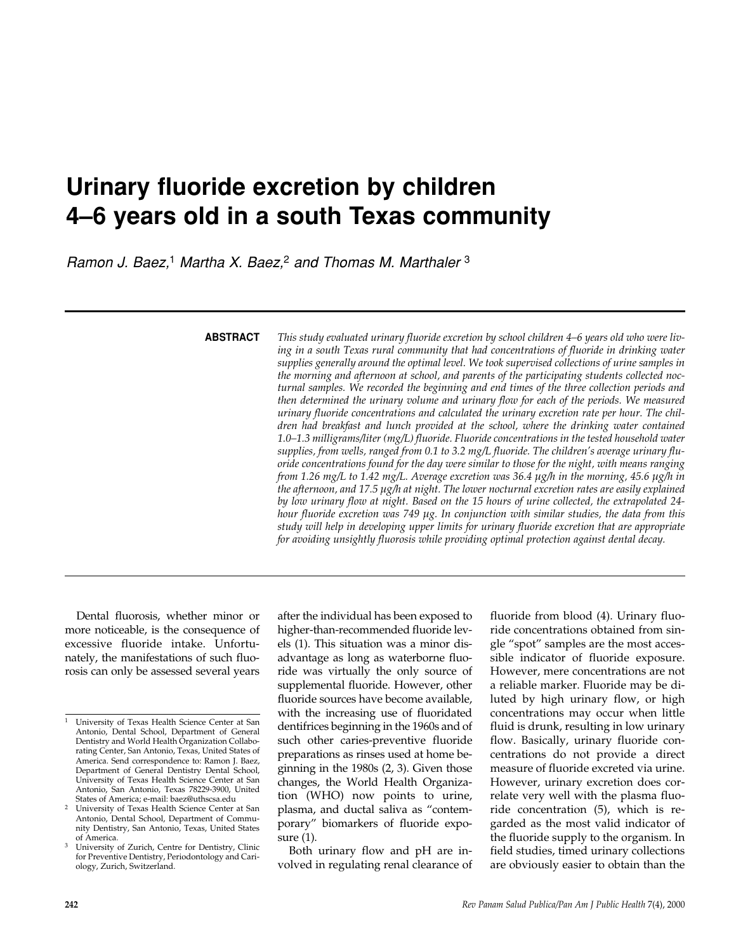# **Urinary fluoride excretion by children 4–6 years old in a south Texas community**

*Ramon J. Baez,*<sup>1</sup> *Martha X. Baez,*<sup>2</sup> *and Thomas M. Marthaler* <sup>3</sup>

**ABSTRACT**

*This study evaluated urinary fluoride excretion by school children 4–6 years old who were living in a south Texas rural community that had concentrations of fluoride in drinking water supplies generally around the optimal level. We took supervised collections of urine samples in the morning and afternoon at school, and parents of the participating students collected nocturnal samples. We recorded the beginning and end times of the three collection periods and then determined the urinary volume and urinary flow for each of the periods. We measured urinary fluoride concentrations and calculated the urinary excretion rate per hour. The children had breakfast and lunch provided at the school, where the drinking water contained 1.0–1.3 milligrams/liter (mg/L) fluoride. Fluoride concentrations in the tested household water supplies, from wells, ranged from 0.1 to 3.2 mg/L fluoride. The children's average urinary fluoride concentrations found for the day were similar to those for the night, with means ranging from 1.26 mg/L to 1.42 mg/L. Average excretion was 36.4 µg/h in the morning, 45.6 µg/h in the afternoon, and 17.5 µg/h at night. The lower nocturnal excretion rates are easily explained by low urinary flow at night. Based on the 15 hours of urine collected, the extrapolated 24 hour fluoride excretion was 749 µg. In conjunction with similar studies, the data from this study will help in developing upper limits for urinary fluoride excretion that are appropriate for avoiding unsightly fluorosis while providing optimal protection against dental decay.* 

Dental fluorosis, whether minor or more noticeable, is the consequence of excessive fluoride intake. Unfortunately, the manifestations of such fluorosis can only be assessed several years

after the individual has been exposed to higher-than-recommended fluoride levels (1). This situation was a minor disadvantage as long as waterborne fluoride was virtually the only source of supplemental fluoride. However, other fluoride sources have become available, with the increasing use of fluoridated dentifrices beginning in the 1960s and of such other caries-preventive fluoride preparations as rinses used at home beginning in the 1980s (2, 3). Given those changes, the World Health Organization (WHO) now points to urine, plasma, and ductal saliva as "contemporary" biomarkers of fluoride exposure (1).

Both urinary flow and pH are involved in regulating renal clearance of fluoride from blood (4). Urinary fluoride concentrations obtained from single "spot" samples are the most accessible indicator of fluoride exposure. However, mere concentrations are not a reliable marker. Fluoride may be diluted by high urinary flow, or high concentrations may occur when little fluid is drunk, resulting in low urinary flow. Basically, urinary fluoride concentrations do not provide a direct measure of fluoride excreted via urine. However, urinary excretion does correlate very well with the plasma fluoride concentration (5), which is regarded as the most valid indicator of the fluoride supply to the organism. In field studies, timed urinary collections are obviously easier to obtain than the

<sup>1</sup> University of Texas Health Science Center at San Antonio, Dental School, Department of General Dentistry and World Health Organization Collaborating Center, San Antonio, Texas, United States of America. Send correspondence to: Ramon J. Baez, Department of General Dentistry Dental School, University of Texas Health Science Center at San Antonio, San Antonio, Texas 78229-3900, United States of America; e-mail: baez@uthscsa.edu

<sup>2</sup> University of Texas Health Science Center at San Antonio, Dental School, Department of Community Dentistry, San Antonio, Texas, United States of America.

<sup>3</sup> University of Zurich, Centre for Dentistry, Clinic for Preventive Dentistry, Periodontology and Cariology, Zurich, Switzerland.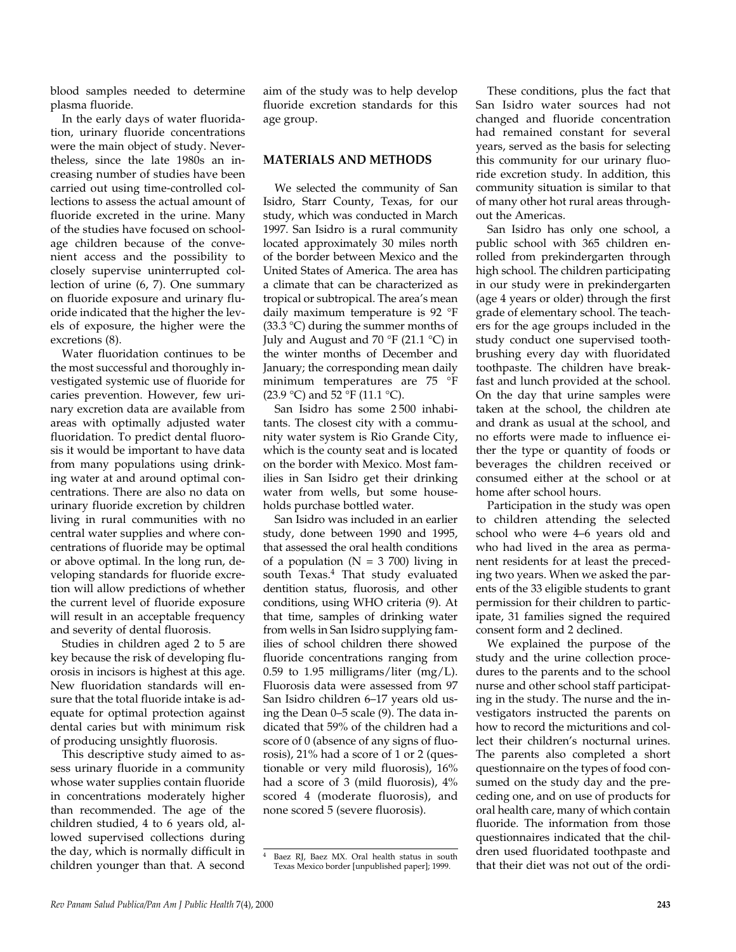blood samples needed to determine plasma fluoride.

In the early days of water fluoridation, urinary fluoride concentrations were the main object of study. Nevertheless, since the late 1980s an increasing number of studies have been carried out using time-controlled collections to assess the actual amount of fluoride excreted in the urine. Many of the studies have focused on schoolage children because of the convenient access and the possibility to closely supervise uninterrupted collection of urine (6, 7). One summary on fluoride exposure and urinary fluoride indicated that the higher the levels of exposure, the higher were the excretions (8).

Water fluoridation continues to be the most successful and thoroughly investigated systemic use of fluoride for caries prevention. However, few urinary excretion data are available from areas with optimally adjusted water fluoridation. To predict dental fluorosis it would be important to have data from many populations using drinking water at and around optimal concentrations. There are also no data on urinary fluoride excretion by children living in rural communities with no central water supplies and where concentrations of fluoride may be optimal or above optimal. In the long run, developing standards for fluoride excretion will allow predictions of whether the current level of fluoride exposure will result in an acceptable frequency and severity of dental fluorosis.

Studies in children aged 2 to 5 are key because the risk of developing fluorosis in incisors is highest at this age. New fluoridation standards will ensure that the total fluoride intake is adequate for optimal protection against dental caries but with minimum risk of producing unsightly fluorosis.

This descriptive study aimed to assess urinary fluoride in a community whose water supplies contain fluoride in concentrations moderately higher than recommended. The age of the children studied, 4 to 6 years old, allowed supervised collections during the day, which is normally difficult in children younger than that. A second

aim of the study was to help develop fluoride excretion standards for this age group.

### **MATERIALS AND METHODS**

We selected the community of San Isidro, Starr County, Texas, for our study, which was conducted in March 1997. San Isidro is a rural community located approximately 30 miles north of the border between Mexico and the United States of America. The area has a climate that can be characterized as tropical or subtropical. The area's mean daily maximum temperature is 92 °F  $(33.3 \text{ °C})$  during the summer months of July and August and 70 °F (21.1 °C) in the winter months of December and January; the corresponding mean daily minimum temperatures are 75 °F (23.9 °C) and 52 °F (11.1 °C).

San Isidro has some 2 500 inhabitants. The closest city with a community water system is Rio Grande City, which is the county seat and is located on the border with Mexico. Most families in San Isidro get their drinking water from wells, but some households purchase bottled water.

San Isidro was included in an earlier study, done between 1990 and 1995, that assessed the oral health conditions of a population ( $N = 3,700$ ) living in south Texas.<sup>4</sup> That study evaluated dentition status, fluorosis, and other conditions, using WHO criteria (9). At that time, samples of drinking water from wells in San Isidro supplying families of school children there showed fluoride concentrations ranging from 0.59 to 1.95 milligrams/liter  $(mg/L)$ . Fluorosis data were assessed from 97 San Isidro children 6–17 years old using the Dean 0–5 scale (9). The data indicated that 59% of the children had a score of 0 (absence of any signs of fluorosis), 21% had a score of 1 or 2 (questionable or very mild fluorosis), 16% had a score of 3 (mild fluorosis), 4% scored 4 (moderate fluorosis), and none scored 5 (severe fluorosis).

These conditions, plus the fact that San Isidro water sources had not changed and fluoride concentration had remained constant for several years, served as the basis for selecting this community for our urinary fluoride excretion study. In addition, this community situation is similar to that of many other hot rural areas throughout the Americas.

San Isidro has only one school, a public school with 365 children enrolled from prekindergarten through high school. The children participating in our study were in prekindergarten (age 4 years or older) through the first grade of elementary school. The teachers for the age groups included in the study conduct one supervised toothbrushing every day with fluoridated toothpaste. The children have breakfast and lunch provided at the school. On the day that urine samples were taken at the school, the children ate and drank as usual at the school, and no efforts were made to influence either the type or quantity of foods or beverages the children received or consumed either at the school or at home after school hours.

Participation in the study was open to children attending the selected school who were 4–6 years old and who had lived in the area as permanent residents for at least the preceding two years. When we asked the parents of the 33 eligible students to grant permission for their children to participate, 31 families signed the required consent form and 2 declined.

We explained the purpose of the study and the urine collection procedures to the parents and to the school nurse and other school staff participating in the study. The nurse and the investigators instructed the parents on how to record the micturitions and collect their children's nocturnal urines. The parents also completed a short questionnaire on the types of food consumed on the study day and the preceding one, and on use of products for oral health care, many of which contain fluoride. The information from those questionnaires indicated that the children used fluoridated toothpaste and that their diet was not out of the ordi-

<sup>4</sup> Baez RJ, Baez MX. Oral health status in south Texas Mexico border [unpublished paper]; 1999.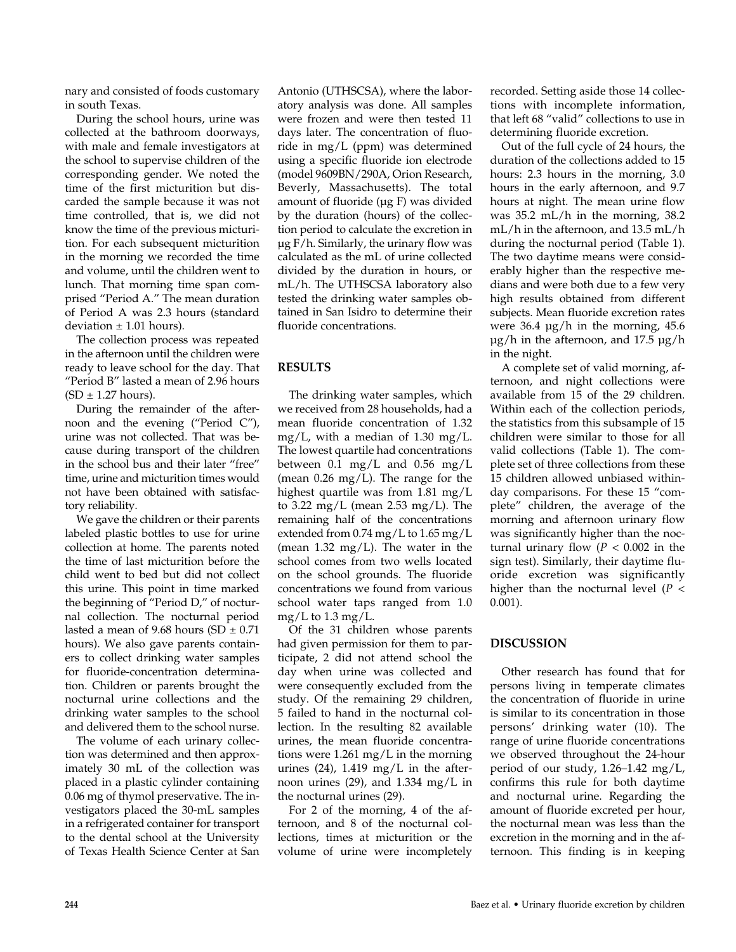nary and consisted of foods customary in south Texas.

During the school hours, urine was collected at the bathroom doorways, with male and female investigators at the school to supervise children of the corresponding gender. We noted the time of the first micturition but discarded the sample because it was not time controlled, that is, we did not know the time of the previous micturition. For each subsequent micturition in the morning we recorded the time and volume, until the children went to lunch. That morning time span comprised "Period A." The mean duration of Period A was 2.3 hours (standard deviation  $\pm$  1.01 hours).

The collection process was repeated in the afternoon until the children were ready to leave school for the day. That "Period B" lasted a mean of 2.96 hours  $(SD \pm 1.27$  hours).

During the remainder of the afternoon and the evening ("Period C"), urine was not collected. That was because during transport of the children in the school bus and their later "free" time, urine and micturition times would not have been obtained with satisfactory reliability.

We gave the children or their parents labeled plastic bottles to use for urine collection at home. The parents noted the time of last micturition before the child went to bed but did not collect this urine. This point in time marked the beginning of "Period D," of nocturnal collection. The nocturnal period lasted a mean of 9.68 hours (SD  $\pm$  0.71 hours). We also gave parents containers to collect drinking water samples for fluoride-concentration determination. Children or parents brought the nocturnal urine collections and the drinking water samples to the school and delivered them to the school nurse.

The volume of each urinary collection was determined and then approximately 30 mL of the collection was placed in a plastic cylinder containing 0.06 mg of thymol preservative. The investigators placed the 30-mL samples in a refrigerated container for transport to the dental school at the University of Texas Health Science Center at San

Antonio (UTHSCSA), where the laboratory analysis was done. All samples were frozen and were then tested 11 days later. The concentration of fluoride in mg/L (ppm) was determined using a specific fluoride ion electrode (model 9609BN/290A, Orion Research, Beverly, Massachusetts). The total amount of fluoride ( $\mu$ g F) was divided by the duration (hours) of the collection period to calculate the excretion in µg F/h. Similarly, the urinary flow was calculated as the mL of urine collected divided by the duration in hours, or mL/h. The UTHSCSA laboratory also tested the drinking water samples obtained in San Isidro to determine their fluoride concentrations.

# **RESULTS**

The drinking water samples, which we received from 28 households, had a mean fluoride concentration of 1.32 mg/L, with a median of 1.30 mg/L. The lowest quartile had concentrations between 0.1 mg/L and 0.56 mg/L (mean  $0.26 \text{ mg/L}$ ). The range for the highest quartile was from 1.81 mg/L to 3.22 mg/L (mean  $2.53$  mg/L). The remaining half of the concentrations extended from 0.74 mg/L to 1.65 mg/L (mean  $1.32 \text{ mg/L}$ ). The water in the school comes from two wells located on the school grounds. The fluoride concentrations we found from various school water taps ranged from 1.0 mg/L to 1.3 mg/L.

Of the 31 children whose parents had given permission for them to participate, 2 did not attend school the day when urine was collected and were consequently excluded from the study. Of the remaining 29 children, 5 failed to hand in the nocturnal collection. In the resulting 82 available urines, the mean fluoride concentrations were 1.261 mg/L in the morning urines  $(24)$ , 1.419 mg/L in the afternoon urines (29), and 1.334 mg/L in the nocturnal urines (29).

For 2 of the morning, 4 of the afternoon, and 8 of the nocturnal collections, times at micturition or the volume of urine were incompletely recorded. Setting aside those 14 collections with incomplete information, that left 68 "valid" collections to use in determining fluoride excretion.

Out of the full cycle of 24 hours, the duration of the collections added to 15 hours: 2.3 hours in the morning, 3.0 hours in the early afternoon, and 9.7 hours at night. The mean urine flow was 35.2 mL/h in the morning, 38.2 mL/h in the afternoon, and 13.5 mL/h during the nocturnal period (Table 1). The two daytime means were considerably higher than the respective medians and were both due to a few very high results obtained from different subjects. Mean fluoride excretion rates were  $36.4 \text{ µg/h}$  in the morning,  $45.6$ µg/h in the afternoon, and 17.5 µg/h in the night.

A complete set of valid morning, afternoon, and night collections were available from 15 of the 29 children. Within each of the collection periods, the statistics from this subsample of 15 children were similar to those for all valid collections (Table 1). The complete set of three collections from these 15 children allowed unbiased withinday comparisons. For these 15 "complete" children, the average of the morning and afternoon urinary flow was significantly higher than the nocturnal urinary flow  $(P < 0.002$  in the sign test). Similarly, their daytime fluoride excretion was significantly higher than the nocturnal level (*P* < 0.001).

## **DISCUSSION**

Other research has found that for persons living in temperate climates the concentration of fluoride in urine is similar to its concentration in those persons' drinking water (10). The range of urine fluoride concentrations we observed throughout the 24-hour period of our study, 1.26–1.42 mg/L, confirms this rule for both daytime and nocturnal urine. Regarding the amount of fluoride excreted per hour, the nocturnal mean was less than the excretion in the morning and in the afternoon. This finding is in keeping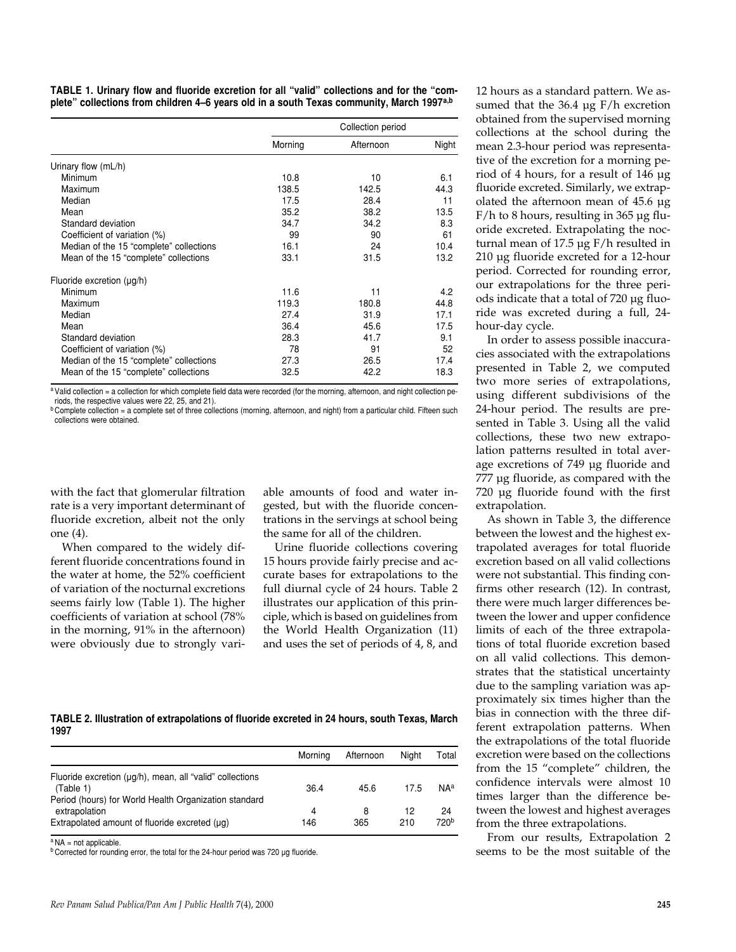**TABLE 1. Urinary flow and fluoride excretion for all "valid" collections and for the "complete" collections from children 4–6 years old in a south Texas community, March 1997a,b**

|                                         | Collection period |           |       |  |  |
|-----------------------------------------|-------------------|-----------|-------|--|--|
|                                         | Morning           | Afternoon | Night |  |  |
| Urinary flow (mL/h)                     |                   |           |       |  |  |
| Minimum                                 | 10.8              | 10        | 6.1   |  |  |
| Maximum                                 | 138.5             | 142.5     | 44.3  |  |  |
| Median                                  | 17.5              | 28.4      | 11    |  |  |
| Mean                                    | 35.2              | 38.2      | 13.5  |  |  |
| Standard deviation                      | 34.7              | 34.2      | 8.3   |  |  |
| Coefficient of variation (%)            | 99                | 90        | 61    |  |  |
| Median of the 15 "complete" collections | 16.1              | 24        | 10.4  |  |  |
| Mean of the 15 "complete" collections   | 33.1              | 31.5      | 13.2  |  |  |
| Fluoride excretion $(\mu g/h)$          |                   |           |       |  |  |
| Minimum                                 | 11.6              | 11        | 4.2   |  |  |
| Maximum                                 | 119.3             | 180.8     | 44.8  |  |  |
| Median                                  | 27.4              | 31.9      | 17.1  |  |  |
| Mean                                    | 36.4              | 45.6      | 17.5  |  |  |
| Standard deviation                      | 28.3              | 41.7      | 9.1   |  |  |
| Coefficient of variation (%)            | 78                | 91        | 52    |  |  |
| Median of the 15 "complete" collections | 27.3              | 26.5      | 17.4  |  |  |
| Mean of the 15 "complete" collections   | 32.5              | 42.2      | 18.3  |  |  |

a Valid collection = a collection for which complete field data were recorded (for the morning, afternoon, and night collection periods, the respective values were 22, 25, and 21).

**b Complete collection = a complete set of three collections (morning, afternoon, and night) from a particular child. Fifteen such** collections were obtained.

with the fact that glomerular filtration rate is a very important determinant of fluoride excretion, albeit not the only one (4).

When compared to the widely different fluoride concentrations found in the water at home, the 52% coefficient of variation of the nocturnal excretions seems fairly low (Table 1). The higher coefficients of variation at school (78% in the morning, 91% in the afternoon) were obviously due to strongly vari-

able amounts of food and water ingested, but with the fluoride concentrations in the servings at school being the same for all of the children.

Urine fluoride collections covering 15 hours provide fairly precise and accurate bases for extrapolations to the full diurnal cycle of 24 hours. Table 2 illustrates our application of this principle, which is based on guidelines from the World Health Organization (11) and uses the set of periods of 4, 8, and

**TABLE 2. Illustration of extrapolations of fluoride excreted in 24 hours, south Texas, March 1997**

|                                                                        | Morning | Afternoon | Niaht | Total            |
|------------------------------------------------------------------------|---------|-----------|-------|------------------|
| Fluoride excretion (µq/h), mean, all "valid" collections<br>(Table 1)  | 36.4    | 45.6      | 17.5  | <b>NAa</b>       |
| Period (hours) for World Health Organization standard<br>extrapolation | 4       | 8         | 12    | 24               |
| Extrapolated amount of fluoride excreted (µq)                          | 146     | 365       | 210   | 720 <sup>b</sup> |

 $^{\circ}$  NA = not applicable.

b Corrected for rounding error, the total for the 24-hour period was 720 µg fluoride.

12 hours as a standard pattern. We assumed that the 36.4 µg F/h excretion obtained from the supervised morning collections at the school during the mean 2.3-hour period was representative of the excretion for a morning period of 4 hours, for a result of 146 µg fluoride excreted. Similarly, we extrapolated the afternoon mean of 45.6 µg  $F/h$  to 8 hours, resulting in 365 ug fluoride excreted. Extrapolating the nocturnal mean of 17.5 µg F/h resulted in 210 µg fluoride excreted for a 12-hour period. Corrected for rounding error, our extrapolations for the three periods indicate that a total of 720 µg fluoride was excreted during a full, 24 hour-day cycle.

In order to assess possible inaccuracies associated with the extrapolations presented in Table 2, we computed two more series of extrapolations, using different subdivisions of the 24-hour period. The results are presented in Table 3. Using all the valid collections, these two new extrapolation patterns resulted in total average excretions of 749 µg fluoride and 777 µg fluoride, as compared with the 720 µg fluoride found with the first extrapolation.

As shown in Table 3, the difference between the lowest and the highest extrapolated averages for total fluoride excretion based on all valid collections were not substantial. This finding confirms other research (12). In contrast, there were much larger differences between the lower and upper confidence limits of each of the three extrapolations of total fluoride excretion based on all valid collections. This demonstrates that the statistical uncertainty due to the sampling variation was approximately six times higher than the bias in connection with the three different extrapolation patterns. When the extrapolations of the total fluoride excretion were based on the collections from the 15 "complete" children, the confidence intervals were almost 10 times larger than the difference between the lowest and highest averages from the three extrapolations.

From our results, Extrapolation 2 seems to be the most suitable of the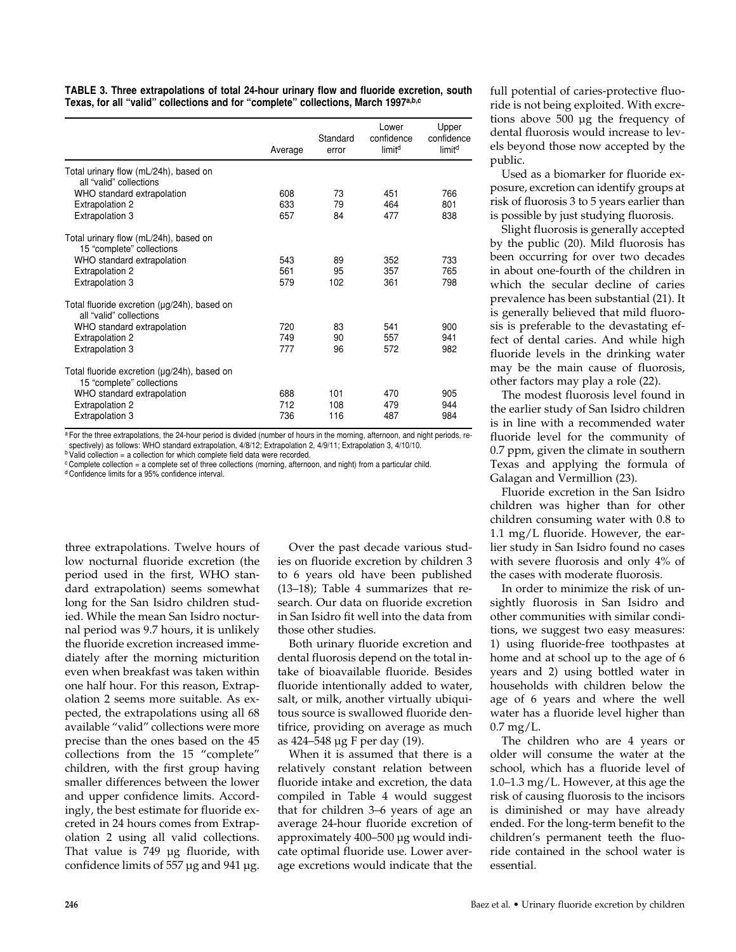| TABLE 3. Three extrapolations of total 24-hour urinary flow and fluoride excretion, south      |  |
|------------------------------------------------------------------------------------------------|--|
| Texas, for all "valid" collections and for "complete" collections, March 1997 <sup>a,b,c</sup> |  |

|                                                                          | Average    | Standard<br>error | Lower<br>confidence<br>limit <sup>d</sup> | Upper<br>confidence<br>limit <sup>d</sup> |
|--------------------------------------------------------------------------|------------|-------------------|-------------------------------------------|-------------------------------------------|
| Total urinary flow (mL/24h), based on<br>all "valid" collections         |            |                   |                                           |                                           |
| WHO standard extrapolation<br><b>Extrapolation 2</b>                     | 608<br>633 | 73<br>79          | 451<br>464                                | 766<br>801                                |
| Extrapolation 3                                                          | 657        | 84                | 477                                       | 838                                       |
| Total urinary flow (mL/24h), based on<br>15 "complete" collections       |            |                   |                                           |                                           |
| WHO standard extrapolation                                               | 543<br>561 | 89<br>95          | 352<br>357                                | 733<br>765                                |
| <b>Extrapolation 2</b><br><b>Extrapolation 3</b>                         | 579        | 102               | 361                                       | 798                                       |
| Total fluoride excretion (µg/24h), based on<br>all "valid" collections   |            |                   |                                           |                                           |
| WHO standard extrapolation                                               | 720        | 83                | 541                                       | 900                                       |
| <b>Extrapolation 2</b><br>Extrapolation 3                                | 749<br>777 | 90<br>96          | 557<br>572                                | 941<br>982                                |
| Total fluoride excretion (µg/24h), based on<br>15 "complete" collections |            |                   |                                           |                                           |
| WHO standard extrapolation                                               | 688<br>712 | 101<br>108        | 470<br>479                                | 905<br>944                                |
| <b>Extrapolation 2</b><br>Extrapolation 3                                | 736        | 116               | 487                                       | 984                                       |

a For the three extrapolations, the 24-hour period is divided (number of hours in the morning, afternoon, and night periods, respectively) as follows: WHO standard extrapolation, 4/8/12; Extrapolation 2, 4/9/11; Extrapolation 3, 4/10/10.

**b Valid collection = a collection for which complete field data were recorded.** 

<sup>c</sup> Complete collection = a complete set of three collections (morning, afternoon, and night) from a particular child.

<sup>d</sup> Confidence limits for a 95% confidence interval.

three extrapolations. Twelve hours of low nocturnal fluoride excretion (the period used in the first, WHO standard extrapolation) seems somewhat long for the San Isidro children studied. While the mean San Isidro nocturnal period was 9.7 hours, it is unlikely the fluoride excretion increased immediately after the morning micturition even when breakfast was taken within one half hour. For this reason, Extrapolation 2 seems more suitable. As expected, the extrapolations using all 68 available "valid" collections were more precise than the ones based on the 45 collections from the 15 "complete" children, with the first group having smaller differences between the lower and upper confidence limits. Accordingly, the best estimate for fluoride excreted in 24 hours comes from Extrapolation 2 using all valid collections. That value is 749 µg fluoride, with confidence limits of 557 µg and 941 µg.

Over the past decade various studies on fluoride excretion by children 3 to 6 years old have been published (13–18); Table 4 summarizes that research. Our data on fluoride excretion in San Isidro fit well into the data from those other studies.

Both urinary fluoride excretion and dental fluorosis depend on the total intake of bioavailable fluoride. Besides fluoride intentionally added to water, salt, or milk, another virtually ubiquitous source is swallowed fluoride dentifrice, providing on average as much as 424–548 µg F per day (19).

When it is assumed that there is a relatively constant relation between fluoride intake and excretion, the data compiled in Table 4 would suggest that for children 3–6 years of age an average 24-hour fluoride excretion of approximately 400–500 µg would indicate optimal fluoride use. Lower average excretions would indicate that the full potential of caries-protective fluoride is not being exploited. With excretions above 500 µg the frequency of dental fluorosis would increase to levels beyond those now accepted by the public.

Used as a biomarker for fluoride exposure, excretion can identify groups at risk of fluorosis 3 to 5 years earlier than is possible by just studying fluorosis.

Slight fluorosis is generally accepted by the public (20). Mild fluorosis has been occurring for over two decades in about one-fourth of the children in which the secular decline of caries prevalence has been substantial (21). It is generally believed that mild fluorosis is preferable to the devastating effect of dental caries. And while high fluoride levels in the drinking water may be the main cause of fluorosis, other factors may play a role (22).

The modest fluorosis level found in the earlier study of San Isidro children is in line with a recommended water fluoride level for the community of 0.7 ppm, given the climate in southern Texas and applying the formula of Galagan and Vermillion (23).

Fluoride excretion in the San Isidro children was higher than for other children consuming water with 0.8 to 1.1 mg/L fluoride. However, the earlier study in San Isidro found no cases with severe fluorosis and only 4% of the cases with moderate fluorosis.

In order to minimize the risk of unsightly fluorosis in San Isidro and other communities with similar conditions, we suggest two easy measures: 1) using fluoride-free toothpastes at home and at school up to the age of 6 years and 2) using bottled water in households with children below the age of 6 years and where the well water has a fluoride level higher than 0.7 mg/L.

The children who are 4 years or older will consume the water at the school, which has a fluoride level of 1.0–1.3 mg/L. However, at this age the risk of causing fluorosis to the incisors is diminished or may have already ended. For the long-term benefit to the children's permanent teeth the fluoride contained in the school water is essential.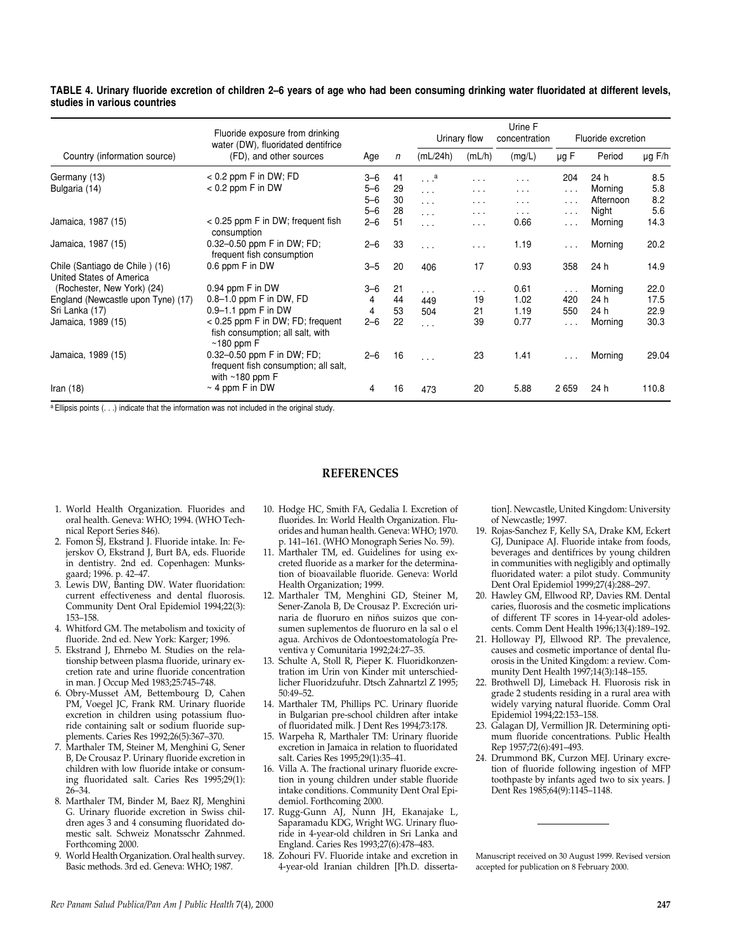#### **TABLE 4. Urinary fluoride excretion of children 2–6 years of age who had been consuming drinking water fluoridated at different levels, studies in various countries**

|                                    | Fluoride exposure from drinking<br>water (DW), fluoridated dentifrice<br>(FD), and other sources |         | n  | Urinary flow         |                      | Urine F<br>concentration | Fluoride excretion |           |             |
|------------------------------------|--------------------------------------------------------------------------------------------------|---------|----|----------------------|----------------------|--------------------------|--------------------|-----------|-------------|
| Country (information source)       |                                                                                                  | Age     |    | (mL/24h)             | (mL/h)               | (mg/L)                   | $\mu$ g F          | Period    | $\mu$ g F/h |
| Germany (13)                       | $< 0.2$ ppm F in DW; FD                                                                          | $3 - 6$ | 41 | . <sup>a</sup>       | $\cdots$             | $\cdots$                 | 204                | 24 h      | 8.5         |
| Bulgaria (14)                      | $< 0.2$ ppm F in DW                                                                              | $5 - 6$ | 29 | $\sim$ $\sim$ $\sim$ | $\cdots$             | $\cdots$                 | $\cdots$           | Morning   | 5.8         |
|                                    |                                                                                                  | $5 - 6$ | 30 | $\sim$ $\sim$ $\sim$ | $\cdots$             | .                        | $\cdots$           | Afternoon | 8.2         |
|                                    |                                                                                                  | $5 - 6$ | 28 | $\sim$ $\sim$ $\sim$ | $\cdots$             | $\cdots$                 | $\cdots$           | Night     | 5.6         |
| Jamaica, 1987 (15)                 | < 0.25 ppm F in DW; frequent fish<br>consumption                                                 | $2 - 6$ | 51 | $\sim$ $\sim$ $\sim$ | $\sim$ $\sim$ $\sim$ | 0.66                     | $\cdots$           | Morning   | 14.3        |
| Jamaica, 1987 (15)                 | 0.32-0.50 ppm F in DW; FD;<br>frequent fish consumption                                          | $2 - 6$ | 33 | $\sim$ $\sim$ $\sim$ | $\cdots$             | 1.19                     | $\cdots$           | Morning   | 20.2        |
| Chile (Santiago de Chile) (16)     | 0.6 ppm F in DW                                                                                  | $3 - 5$ | 20 | 406                  | 17                   | 0.93                     | 358                | 24 h      | 14.9        |
| United States of America           |                                                                                                  |         |    |                      |                      |                          |                    |           |             |
| (Rochester, New York) (24)         | 0.94 ppm F in DW                                                                                 | $3 - 6$ | 21 | $\sim$ $\sim$ $\sim$ | $\cdots$             | 0.61                     | $\cdots$           | Morning   | 22.0        |
| England (Newcastle upon Tyne) (17) | $0.8 - 1.0$ ppm F in DW, FD                                                                      | 4       | 44 | 449                  | 19                   | 1.02                     | 420                | 24 h      | 17.5        |
| Sri Lanka (17)                     | $0.9 - 1.1$ ppm F in DW                                                                          | 4       | 53 | 504                  | 21                   | 1.19                     | 550                | 24 h      | 22.9        |
| Jamaica, 1989 (15)                 | $< 0.25$ ppm F in DW; FD; frequent<br>fish consumption; all salt, with<br>$~180$ ppm F           | $2 - 6$ | 22 | $\sim$ $\sim$ $\sim$ | 39                   | 0.77                     | $\sim$ .           | Morning   | 30.3        |
| Jamaica, 1989 (15)                 | 0.32-0.50 ppm F in DW; FD;<br>frequent fish consumption; all salt,<br>with $~180$ ppm F          | $2 - 6$ | 16 | $\ldots$             | 23                   | 1.41                     | $\cdots$           | Morning   | 29.04       |
| Iran $(18)$                        | $\sim$ 4 ppm F in DW                                                                             | 4       | 16 | 473                  | 20                   | 5.88                     | 2659               | 24 h      | 110.8       |

a Ellipsis points (. . .) indicate that the information was not included in the original study.

#### **REFERENCES**

- 1. World Health Organization. Fluorides and oral health. Geneva: WHO; 1994. (WHO Technical Report Series 846).
- 2. Fomon SJ, Ekstrand J. Fluoride intake. In: Fejerskov O, Ekstrand J, Burt BA, eds. Fluoride in dentistry. 2nd ed. Copenhagen: Munksgaard; 1996. p. 42–47.
- 3. Lewis DW, Banting DW. Water fluoridation: current effectiveness and dental fluorosis. Community Dent Oral Epidemiol 1994;22(3): 153–158.
- 4. Whitford GM. The metabolism and toxicity of fluoride. 2nd ed. New York: Karger; 1996.
- 5. Ekstrand J, Ehrnebo M. Studies on the relationship between plasma fluoride, urinary excretion rate and urine fluoride concentration in man. J Occup Med 1983;25:745–748.
- 6. Obry-Musset AM, Bettembourg D, Cahen PM, Voegel JC, Frank RM. Urinary fluoride excretion in children using potassium fluoride containing salt or sodium fluoride supplements. Caries Res 1992;26(5):367–370.
- 7. Marthaler TM, Steiner M, Menghini G, Sener B, De Crousaz P. Urinary fluoride excretion in children with low fluoride intake or consuming fluoridated salt. Caries Res 1995;29(1): 26–34.
- 8. Marthaler TM, Binder M, Baez RJ, Menghini G. Urinary fluoride excretion in Swiss children ages 3 and 4 consuming fluoridated domestic salt. Schweiz Monatsschr Zahnmed. Forthcoming 2000.
- 9. World Health Organization. Oral health survey. Basic methods. 3rd ed. Geneva: WHO; 1987.
- 10. Hodge HC, Smith FA, Gedalia I. Excretion of fluorides. In: World Health Organization. Fluorides and human health. Geneva: WHO; 1970. p. 141–161. (WHO Monograph Series No. 59).
- 11. Marthaler TM, ed. Guidelines for using excreted fluoride as a marker for the determination of bioavailable fluoride. Geneva: World Health Organization; 1999.
- 12. Marthaler TM, Menghini GD, Steiner M, Sener-Zanola B, De Crousaz P. Excreción urinaria de fluoruro en niños suizos que consumen suplementos de fluoruro en la sal o el agua. Archivos de Odontoestomatología Preventiva y Comunitaria 1992;24:27–35.
- 13. Schulte A, Stoll R, Pieper K. Fluoridkonzentration im Urin von Kinder mit unterschiedlicher Fluoridzufuhr. Dtsch Zahnartzl Z 1995; 50:49–52.
- 14. Marthaler TM, Phillips PC. Urinary fluoride in Bulgarian pre-school children after intake of fluoridated milk. J Dent Res 1994;73:178.
- 15. Warpeha R, Marthaler TM: Urinary fluoride excretion in Jamaica in relation to fluoridated salt. Caries Res 1995;29(1):35–41.
- 16. Villa A. The fractional urinary fluoride excretion in young children under stable fluoride intake conditions. Community Dent Oral Epidemiol. Forthcoming 2000.
- 17. Rugg-Gunn AJ, Nunn JH, Ekanajake L, Saparamadu KDG, Wright WG. Urinary fluoride in 4-year-old children in Sri Lanka and England. Caries Res 1993;27(6):478–483.
- 18. Zohouri FV. Fluoride intake and excretion in 4-year-old Iranian children [Ph.D. disserta-

tion]. Newcastle, United Kingdom: University of Newcastle; 1997.

- 19. Rojas-Sanchez F, Kelly SA, Drake KM, Eckert GJ, Dunipace AJ. Fluoride intake from foods, beverages and dentifrices by young children in communities with negligibly and optimally fluoridated water: a pilot study. Community Dent Oral Epidemiol 1999;27(4):288–297.
- 20. Hawley GM, Ellwood RP, Davies RM. Dental caries, fluorosis and the cosmetic implications of different TF scores in 14-year-old adolescents. Comm Dent Health 1996;13(4):189–192.
- 21. Holloway PJ, Ellwood RP. The prevalence, causes and cosmetic importance of dental fluorosis in the United Kingdom: a review. Community Dent Health 1997;14(3):148–155.
- 22. Brothwell DJ, Limeback H. Fluorosis risk in grade 2 students residing in a rural area with widely varying natural fluoride. Comm Oral Epidemiol 1994;22:153–158.
- 23. Galagan DJ, Vermillion JR. Determining optimum fluoride concentrations. Public Health Rep 1957;72(6):491–493.
- 24. Drummond BK, Curzon MEJ. Urinary excretion of fluoride following ingestion of MFP toothpaste by infants aged two to six years. J Dent Res 1985;64(9):1145–1148.

Manuscript received on 30 August 1999. Revised version accepted for publication on 8 February 2000.